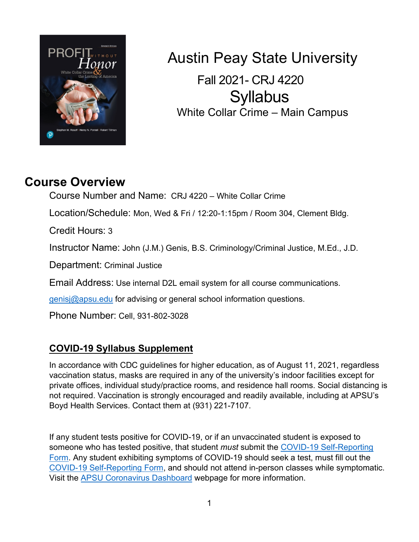

# Austin Peay State University Fall 2021- CRJ 4220 **Syllabus** White Collar Crime – Main Campus

## **Course Overview**

Course Number and Name: CRJ 4220 – White Collar Crime

Location/Schedule: Mon, Wed & Fri / 12:20-1:15pm / Room 304, Clement Bldg.

Credit Hours: 3

Instructor Name: John (J.M.) Genis, B.S. Criminology/Criminal Justice, M.Ed., J.D.

Department: Criminal Justice

Email Address: Use internal D2L email system for all course communications.

[genisj@apsu.edu](mailto:campbellt@apsu.edu) for advising or general school information questions.

Phone Number: Cell, 931-802-3028

## **COVID-19 Syllabus Supplement**

In accordance with CDC guidelines for higher education, as of August 11, 2021, regardless vaccination status, masks are required in any of the university's indoor facilities except for private offices, individual study/practice rooms, and residence hall rooms. Social distancing is not required. Vaccination is strongly encouraged and readily available, including at APSU's Boyd Health Services. Contact them at (931) 221-7107.

If any student tests positive for COVID-19, or if an unvaccinated student is exposed to someone who has tested positive, that student *must* submit the [COVID-19 Self-Reporting](https://cm.maxient.com/reportingform.php?AustinPeayStateUniv&layout_id=19)  [Form.](https://cm.maxient.com/reportingform.php?AustinPeayStateUniv&layout_id=19) Any student exhibiting symptoms of COVID-19 should seek a test, must fill out the [COVID-19 Self-Reporting Form,](https://cm.maxient.com/reportingform.php?AustinPeayStateUniv&layout_id=19) and should not attend in-person classes while symptomatic. Visit the [APSU Coronavirus Dashboard](https://apsu.edu/coronavirus/index.php) webpage for more information.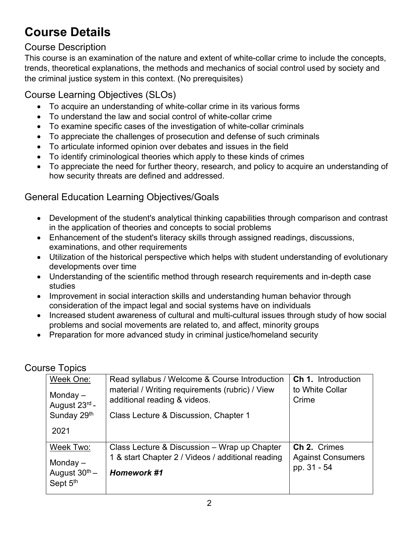# **Course Details**

### Course Description

This course is an examination of the nature and extent of white-collar crime to include the concepts, trends, theoretical explanations, the methods and mechanics of social control used by society and the criminal justice system in this context. (No prerequisites)

## Course Learning Objectives (SLOs)

- To acquire an understanding of white-collar crime in its various forms
- To understand the law and social control of white-collar crime
- To examine specific cases of the investigation of white-collar criminals
- To appreciate the challenges of prosecution and defense of such criminals
- To articulate informed opinion over debates and issues in the field
- To identify criminological theories which apply to these kinds of crimes
- To appreciate the need for further theory, research, and policy to acquire an understanding of how security threats are defined and addressed.

## General Education Learning Objectives/Goals

- Development of the student's analytical thinking capabilities through comparison and contrast in the application of theories and concepts to social problems
- Enhancement of the student's literacy skills through assigned readings, discussions, examinations, and other requirements
- Utilization of the historical perspective which helps with student understanding of evolutionary developments over time
- Understanding of the scientific method through research requirements and in-depth case studies
- Improvement in social interaction skills and understanding human behavior through consideration of the impact legal and social systems have on individuals
- Increased student awareness of cultural and multi-cultural issues through study of how social problems and social movements are related to, and affect, minority groups
- Preparation for more advanced study in criminal justice/homeland security

| Week One:<br>Monday $-$<br>August 23rd -                         | Read syllabus / Welcome & Course Introduction<br>material / Writing requirements (rubric) / View<br>additional reading & videos. | <b>Ch 1.</b> Introduction<br>to White Collar<br>Crime   |
|------------------------------------------------------------------|----------------------------------------------------------------------------------------------------------------------------------|---------------------------------------------------------|
| Sunday 29th<br>2021                                              | Class Lecture & Discussion, Chapter 1                                                                                            |                                                         |
| Week Two:<br>Monday $-$<br>August 30 <sup>th</sup> -<br>Sept 5th | Class Lecture & Discussion – Wrap up Chapter<br>1 & start Chapter 2 / Videos / additional reading<br><b>Homework #1</b>          | Ch 2. Crimes<br><b>Against Consumers</b><br>pp. 31 - 54 |

## Course Topics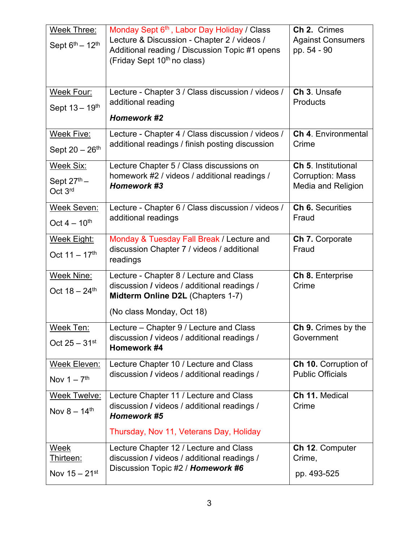| Week Three:<br>Sept $6th - 12th$                                | Monday Sept 6 <sup>th</sup> , Labor Day Holiday / Class<br>Lecture & Discussion - Chapter 2 / videos /<br>Additional reading / Discussion Topic #1 opens<br>(Friday Sept 10 <sup>th</sup> no class) | Ch 2. Crimes<br><b>Against Consumers</b><br>pp. 54 - 90                     |
|-----------------------------------------------------------------|-----------------------------------------------------------------------------------------------------------------------------------------------------------------------------------------------------|-----------------------------------------------------------------------------|
| Week Four:<br>Sept 13 - 19th                                    | Lecture - Chapter 3 / Class discussion / videos /<br>additional reading<br><b>Homework #2</b>                                                                                                       | Ch 3. Unsafe<br>Products                                                    |
| Week Five:<br>Sept $20 - 26$ <sup>th</sup>                      | Lecture - Chapter 4 / Class discussion / videos /<br>additional readings / finish posting discussion                                                                                                | <b>Ch 4. Environmental</b><br>Crime                                         |
| <b>Week Six:</b><br>Sept $27th$ –<br>Oct 3rd                    | Lecture Chapter 5 / Class discussions on<br>homework #2 / videos / additional readings /<br><b>Homework #3</b>                                                                                      | Ch 5. Institutional<br><b>Corruption: Mass</b><br><b>Media and Religion</b> |
| Week Seven:<br>Oct $4 - 10^{th}$                                | Lecture - Chapter 6 / Class discussion / videos /<br>additional readings                                                                                                                            | <b>Ch 6. Securities</b><br>Fraud                                            |
| Week Eight:<br>Oct $11 - 17$ <sup>th</sup>                      | Monday & Tuesday Fall Break / Lecture and<br>discussion Chapter 7 / videos / additional<br>readings                                                                                                 | Ch 7. Corporate<br>Fraud                                                    |
| Week Nine:<br>Oct $18 - 24$ <sup>th</sup>                       | Lecture - Chapter 8 / Lecture and Class<br>discussion / videos / additional readings /<br>Midterm Online D2L (Chapters 1-7)<br>(No class Monday, Oct 18)                                            | Ch 8. Enterprise<br>Crime                                                   |
| Week Ten:<br>Oct $25 - 31$ <sup>st</sup>                        | Lecture - Chapter 9 / Lecture and Class<br>discussion / videos / additional readings /<br>Homework #4                                                                                               | <b>Ch 9. Crimes by the</b><br>Government                                    |
| Week Eleven:<br>Nov $1 - 7$ <sup>th</sup>                       | Lecture Chapter 10 / Lecture and Class<br>discussion / videos / additional readings /                                                                                                               | Ch 10. Corruption of<br><b>Public Officials</b>                             |
| <b>Week Twelve:</b><br>Nov $8 - 14$ <sup>th</sup>               | Lecture Chapter 11 / Lecture and Class<br>discussion / videos / additional readings /<br><b>Homework #5</b><br>Thursday, Nov 11, Veterans Day, Holiday                                              | Ch 11. Medical<br>Crime                                                     |
| <u>Week</u><br><u> Thirteen:</u><br>Nov $15 - 21$ <sup>st</sup> | Lecture Chapter 12 / Lecture and Class<br>discussion / videos / additional readings /<br>Discussion Topic #2 / Homework #6                                                                          | <b>Ch 12. Computer</b><br>Crime,<br>pp. 493-525                             |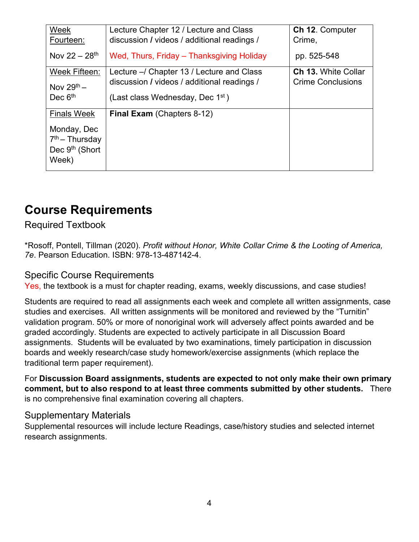| Week                                                                   | Lecture Chapter 12 / Lecture and Class      | <b>Ch 12. Computer</b>     |
|------------------------------------------------------------------------|---------------------------------------------|----------------------------|
| Fourteen:                                                              | discussion / videos / additional readings / | Crime,                     |
| Nov $22 - 28$ <sup>th</sup>                                            | Wed, Thurs, Friday – Thanksgiving Holiday   | pp. 525-548                |
| Week Fifteen:                                                          | Lecture -/ Chapter 13 / Lecture and Class   | <b>Ch 13. White Collar</b> |
| Nov $29^{th}$ –                                                        | discussion / videos / additional readings / | <b>Crime Conclusions</b>   |
| Dec $6th$                                                              | (Last class Wednesday, Dec $1st$ )          |                            |
| <b>Finals Week</b>                                                     | <b>Final Exam (Chapters 8-12)</b>           |                            |
| Monday, Dec<br>$7th$ – Thursday<br>Dec 9 <sup>th</sup> (Short<br>Week) |                                             |                            |

## **Course Requirements**

Required Textbook

\*Rosoff, Pontell, Tillman (2020). *Profit without Honor, White Collar Crime & the Looting of America, 7e*. Pearson Education. ISBN: 978-13-487142-4.

### Specific Course Requirements

Yes, the textbook is a must for chapter reading, exams, weekly discussions, and case studies!

Students are required to read all assignments each week and complete all written assignments, case studies and exercises. All written assignments will be monitored and reviewed by the "Turnitin" validation program. 50% or more of nonoriginal work will adversely affect points awarded and be graded accordingly. Students are expected to actively participate in all Discussion Board assignments. Students will be evaluated by two examinations, timely participation in discussion boards and weekly research/case study homework/exercise assignments (which replace the traditional term paper requirement).

For **Discussion Board assignments, students are expected to not only make their own primary comment, but to also respond to at least three comments submitted by other students.** There is no comprehensive final examination covering all chapters.

#### Supplementary Materials

Supplemental resources will include lecture Readings, case/history studies and selected internet research assignments.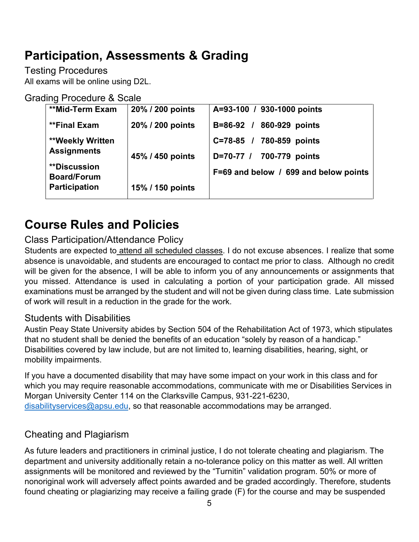# **Participation, Assessments & Grading**

Testing Procedures All exams will be online using D2L.

### Grading Procedure & Scale

| **Mid-Term Exam                           | 20% / 200 points | A=93-100 / 930-1000 points            |
|-------------------------------------------|------------------|---------------------------------------|
| **Final Exam                              | 20% / 200 points | B=86-92 / 860-929 points              |
| <b>**Weekly Written</b>                   |                  | C=78-85 / 780-859 points              |
| <b>Assignments</b>                        | 45% / 450 points | D=70-77 / 700-779 points              |
| <i>**Discussion</i><br><b>Board/Forum</b> |                  | F=69 and below / 699 and below points |
| <b>Participation</b>                      | 15% / 150 points |                                       |

## **Course Rules and Policies**

### Class Participation/Attendance Policy

Students are expected to attend all scheduled classes. I do not excuse absences. I realize that some absence is unavoidable, and students are encouraged to contact me prior to class. Although no credit will be given for the absence, I will be able to inform you of any announcements or assignments that you missed. Attendance is used in calculating a portion of your participation grade. All missed examinations must be arranged by the student and will not be given during class time. Late submission of work will result in a reduction in the grade for the work.

#### Students with Disabilities

Austin Peay State University abides by Section 504 of the Rehabilitation Act of 1973, which stipulates that no student shall be denied the benefits of an education "solely by reason of a handicap." Disabilities covered by law include, but are not limited to, learning disabilities, hearing, sight, or mobility impairments.

If you have a documented disability that may have some impact on your work in this class and for which you may require reasonable accommodations, communicate with me or Disabilities Services in Morgan University Center 114 on the Clarksville Campus, 931-221-6230, [disabilityservices@apsu.edu,](mailto:disabilityservices@apsu.edu) so that reasonable accommodations may be arranged.

### Cheating and Plagiarism

As future leaders and practitioners in criminal justice, I do not tolerate cheating and plagiarism. The department and university additionally retain a no-tolerance policy on this matter as well. All written assignments will be monitored and reviewed by the "Turnitin" validation program. 50% or more of nonoriginal work will adversely affect points awarded and be graded accordingly. Therefore, students found cheating or plagiarizing may receive a failing grade (F) for the course and may be suspended